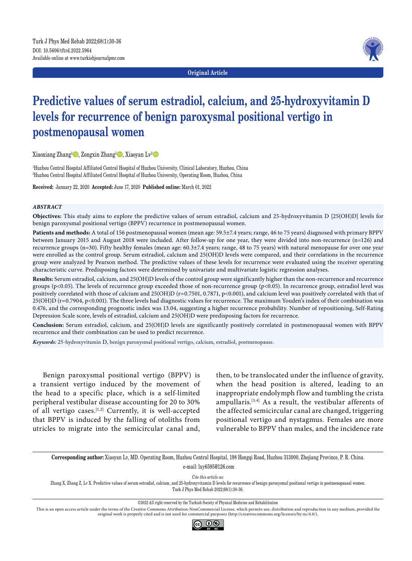**Original Article**



# **Predictive values of serum estradiol, calcium, and 25-hydroxyvitamin D levels for recurrence of benign paroxysmal positional vertigo in postmenopausal women**

Xiaoxiang Zhang<sup>1</sup><sup>®</sup>, Zongxin Zhang<sup>1</sup>®, Xiaoyan Lv<sup>2</sup>

1 Huzhou Central Hospital Affiliated Central Hospital of Huzhou University, Clinical Laboratory, Huzhou, China 2 Huzhou Central Hospital Affiliated Central Hospital of Huzhou University, Operating Room, Huzhou, China

**Received:** January 22, 2020 **Accepted:** June 17, 2020 **Published online:** March 01, 2022

#### *ABSTRACT*

**Objectives:** This study aims to explore the predictive values of serum estradiol, calcium and 25-hydroxyvitamin D [25(OH)D] levels for benign paroxysmal positional vertigo (BPPV) recurrence in postmenopausal women.

**Patients and methods:** A total of 156 postmenopausal women (mean age: 59.5±7.4 years; range, 46 to 75 years) diagnosed with primary BPPV between January 2015 and August 2018 were included. After follow-up for one year, they were divided into non-recurrence (n=126) and recurrence groups (n=30). Fifty healthy females (mean age: 60.3±7.4 years; range, 48 to 75 years) with natural menopause for over one year were enrolled as the control group. Serum estradiol, calcium and 25(OH)D levels were compared, and their correlations in the recurrence group were analyzed by Pearson method. The predictive values of these levels for recurrence were evaluated using the receiver operating characteristic curve. Predisposing factors were determined by univariate and multivariate logistic regression analyses.

**Results:** Serum estradiol, calcium, and 25(OH)D levels of the control group were significantly higher than the non-recurrence and recurrence groups (p<0.05). The levels of recurrence group exceeded those of non-recurrence group (p<0.05). In recurrence group, estradiol level was positively correlated with those of calcium and 25(OH)D (r=0.7501, 0.7871, p<0.001), and calcium level was positively correlated with that of 25(OH)D (r=0.7904, p<0.001). The three levels had diagnostic values for recurrence. The maximum Youden's index of their combination was 0.476, and the corresponding prognostic index was 13.04, suggesting a higher recurrence probability. Number of repositioning, Self-Rating Depression Scale score, levels of estradiol, calcium and 25(OH)D were predisposing factors for recurrence.

**Conclusion:** Serum estradiol, calcium, and 25(OH)D levels are significantly positively correlated in postmenopausal women with BPPV recurrence and their combination can be used to predict recurrence.

*Keywords:* 25-hydroxyvitamin D, benign paroxysmal positional vertigo, calcium, estradiol, postmenopause.

Benign paroxysmal positional vertigo (BPPV) is a transient vertigo induced by the movement of the head to a specific place, which is a self-limited peripheral vestibular disease accounting for 20 to 30% of all vertigo cases.[1,2] Currently, it is well-accepted that BPPV is induced by the falling of otoliths from utricles to migrate into the semicircular canal and, then, to be translocated under the influence of gravity, when the head position is altered, leading to an inappropriate endolymph flow and tumbling the crista ampullaris.<sup>[3,4]</sup> As a result, the vestibular afferents of the affected semicircular canal are changed, triggering positional vertigo and nystagmus. Females are more vulnerable to BPPV than males, and the incidence rate

**Corresponding author:** Xiaoyan Lv, MD. Operating Room, Huzhou Central Hospital, 198 Hongqi Road, Huzhou 313000, Zhejiang Province, P. R. China. e-mail: lxy6595@126.com

*Cite this article as:*

Zhang X, Zhang Z, Lv X. Predictive values of serum estradiol, calcium, and 25-hydroxyvitamin D levels for recurrence of benign paroxysmal positional vertigo in postmenopausal women. Turk J Phys Med Rehab 2022;68(1):30-36.

©2022 All right reserved by the Turkish Society of Physical Medicine and Rehabilitation

This is an open access article under the terms of the Creative Commons Attribution-NonCommercial License, which permits use, distribution and reproduction in any medium, provided the original work is properly cited and is not used for commercial purposes (http://creativecommons.org/licenses/by-nc/4.0/).

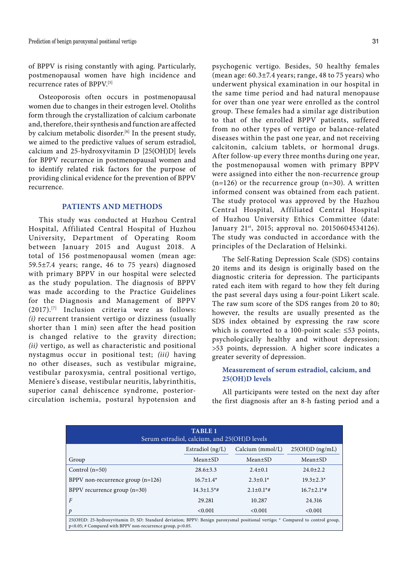of BPPV is rising constantly with aging. Particularly, postmenopausal women have high incidence and recurrence rates of BPPV.[5]

Osteoporosis often occurs in postmenopausal women due to changes in their estrogen level. Otoliths form through the crystallization of calcium carbonate and, therefore, their synthesis and function are affected by calcium metabolic disorder.<sup>[6]</sup> In the present study, we aimed to the predictive values of serum estradiol, calcium and 25-hydroxyvitamin D [25(OH)D] levels for BPPV recurrence in postmenopausal women and to identify related risk factors for the purpose of providing clinical evidence for the prevention of BPPV recurrence.

# **PATIENTS AND METHODS**

This study was conducted at Huzhou Central Hospital, Affiliated Central Hospital of Huzhou University, Department of Operating Room between January 2015 and August 2018. A total of 156 postmenopausal women (mean age: 59.5±7.4 years; range, 46 to 75 years) diagnosed with primary BPPV in our hospital were selected as the study population. The diagnosis of BPPV was made according to the Practice Guidelines for the Diagnosis and Management of BPPV (2017).[7] Inclusion criteria were as follows: *(i)* recurrent transient vertigo or dizziness (usually shorter than 1 min) seen after the head position is changed relative to the gravity direction; *(ii)* vertigo, as well as characteristic and positional nystagmus occur in positional test; *(iii)* having no other diseases, such as vestibular migraine, vestibular paroxysmia, central positional vertigo, Meniere's disease, vestibular neuritis, labyrinthitis, superior canal dehiscence syndrome, posteriorcirculation ischemia, postural hypotension and

psychogenic vertigo. Besides, 50 healthy females (mean age:  $60.3 \pm 7.4$  years; range, 48 to 75 years) who underwent physical examination in our hospital in the same time period and had natural menopause for over than one year were enrolled as the control group. These females had a similar age distribution to that of the enrolled BPPV patients, suffered from no other types of vertigo or balance-related diseases within the past one year, and not receiving calcitonin, calcium tablets, or hormonal drugs. After follow-up every three months during one year, the postmenopausal women with primary BPPV were assigned into either the non-recurrence group  $(n=126)$  or the recurrence group  $(n=30)$ . A written informed consent was obtained from each patient. The study protocol was approved by the Huzhou Central Hospital, Affiliated Central Hospital of Huzhou University Ethics Committee (date: January 21<sup>st</sup>, 2015; approval no. 20150604534126). The study was conducted in accordance with the principles of the Declaration of Helsinki.

The Self-Rating Depression Scale (SDS) contains 20 items and its design is originally based on the diagnostic criteria for depression. The participants rated each item with regard to how they felt during the past several days using a four-point Likert scale. The raw sum score of the SDS ranges from 20 to 80; however, the results are usually presented as the SDS index obtained by expressing the raw score which is converted to a 100-point scale:  $\leq 53$  points, psychologically healthy and without depression; >53 points, depression. A higher score indicates a greater severity of depression.

# **Measurement of serum estradiol, calcium, and 25(OH)D levels**

All participants were tested on the next day after the first diagnosis after an 8-h fasting period and a

| <b>TABLE 1</b><br>Serum estradiol, calcium, and 25(OH)D levels                                                                                                                                     |                               |                              |                              |  |  |  |  |
|----------------------------------------------------------------------------------------------------------------------------------------------------------------------------------------------------|-------------------------------|------------------------------|------------------------------|--|--|--|--|
|                                                                                                                                                                                                    | $25(OH)D$ (ng/mL)             |                              |                              |  |  |  |  |
| Group                                                                                                                                                                                              | $Mean \pm SD$                 | $Mean \pm SD$                | $Mean \pm SD$                |  |  |  |  |
| Control $(n=50)$                                                                                                                                                                                   | $28.6 \pm 3.3$                | $2.4 \pm 0.1$                | $24.0 \pm 2.2$               |  |  |  |  |
| BPPV non-recurrence group $(n=126)$                                                                                                                                                                | $16.7 \pm 1.4*$               | $2.3 \pm 0.1*$               | $19.3 \pm 2.3*$              |  |  |  |  |
| BPPV recurrence group $(n=30)$                                                                                                                                                                     | $14.3 \pm 1.5$ <sup>*</sup> # | $2.1 \pm 0.1$ <sup>*</sup> # | $16.7 \pm 2.1$ <sup>*#</sup> |  |  |  |  |
| $\overline{F}$                                                                                                                                                                                     | 29.281                        | 10.287                       | 24.316                       |  |  |  |  |
| $\mathcal{P}$                                                                                                                                                                                      | < 0.001                       | < 0.001                      | < 0.001                      |  |  |  |  |
| 25(OH)D: 25-hydroxyvitamin D; SD: Standard deviation; BPPV: Benign paroxysmal positional vertigo; * Compared to control group,<br>$p<0.05$ ; # Compared with BPPV non-recurrence group, $p<0.05$ . |                               |                              |                              |  |  |  |  |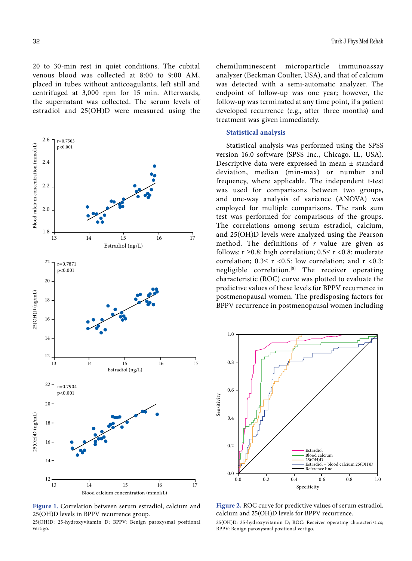20 to 30-min rest in quiet conditions. The cubital venous blood was collected at 8:00 to 9:00 AM, placed in tubes without anticoagulants, left still and centrifuged at 3,000 rpm for 15 min. Afterwards, the supernatant was collected. The serum levels of estradiol and 25(OH)D were measured using the



**Figure 1.** Correlation between serum estradiol, calcium and 25(OH)D levels in BPPV recurrence group.

25(OH)D: 25-hydroxyvitamin D; BPPV: Benign paroxysmal positional vertigo.

chemiluminescent microparticle immunoassay analyzer (Beckman Coulter, USA), and that of calcium was detected with a semi-automatic analyzer. The endpoint of follow-up was one year; however, the follow-up was terminated at any time point, if a patient developed recurrence (e.g., after three months) and treatment was given immediately.

## **Statistical analysis**

Statistical analysis was performed using the SPSS version 16.0 software (SPSS Inc., Chicago. IL, USA). Descriptive data were expressed in mean ± standard deviation, median (min-max) or number and frequency, where applicable. The independent t-test was used for comparisons between two groups, and one-way analysis of variance (ANOVA) was employed for multiple comparisons. The rank sum test was performed for comparisons of the groups. The correlations among serum estradiol, calcium, and 25(OH)D levels were analyzed using the Pearson method. The definitions of *r* value are given as follows:  $r \ge 0.8$ : high correlation;  $0.5 \le r \le 0.8$ : moderate correlation;  $0.3 \le r < 0.5$ : low correlation; and  $r < 0.3$ : negligible correlation.[8] The receiver operating characteristic (ROC) curve was plotted to evaluate the predictive values of these levels for BPPV recurrence in postmenopausal women. The predisposing factors for BPPV recurrence in postmenopausal women including



**Figure 2.** ROC curve for predictive values of serum estradiol, calcium and 25(OH)D levels for BPPV recurrence.

25(OH)D: 25-hydroxyvitamin D; ROC: Receiver operating characteristics;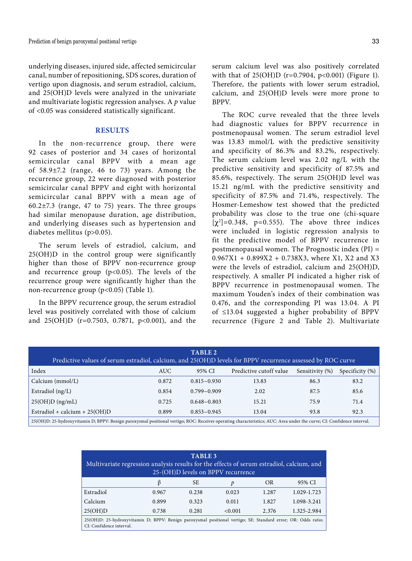underlying diseases, injured side, affected semicircular canal, number of repositioning, SDS scores, duration of vertigo upon diagnosis, and serum estradiol, calcium, and 25(OH)D levels were analyzed in the univariate and multivariate logistic regression analyses. A *p* value of <0.05 was considered statistically significant.

# **RESULTS**

In the non-recurrence group, there were 92 cases of posterior and 34 cases of horizontal semicircular canal BPPV with a mean age of 58.9±7.2 (range, 46 to 73) years. Among the recurrence group, 22 were diagnosed with posterior semicircular canal BPPV and eight with horizontal semicircular canal BPPV with a mean age of 60.2±7.3 (range, 47 to 75) years. The three groups had similar menopause duration, age distribution, and underlying diseases such as hypertension and diabetes mellitus (p>0.05).

The serum levels of estradiol, calcium, and 25(OH)D in the control group were significantly higher than those of BPPV non-recurrence group and recurrence group ( $p<0.05$ ). The levels of the recurrence group were significantly higher than the non-recurrence group (p<0.05) (Table 1).

In the BPPV recurrence group, the serum estradiol level was positively correlated with those of calcium and 25(OH)D (r=0.7503, 0.7871, p<0.001), and the serum calcium level was also positively correlated with that of 25(OH)D (r=0.7904, p<0.001) (Figure 1). Therefore, the patients with lower serum estradiol, calcium, and 25(OH)D levels were more prone to BPPV.

The ROC curve revealed that the three levels had diagnostic values for BPPV recurrence in postmenopausal women. The serum estradiol level was 13.83 mmol/L with the predictive sensitivity and specificity of 86.3% and 83.2%, respectively. The serum calcium level was 2.02 ng/L with the predictive sensitivity and specificity of 87.5% and 85.6%, respectively. The serum 25(OH)D level was 15.21 ng/mL with the predictive sensitivity and specificity of 87.5% and 71.4%, respectively. The Hosmer-Lemeshow test showed that the predicted probability was close to the true one (chi-square  $[\chi^2]$ =0.348, p=0.555). The above three indices were included in logistic regression analysis to fit the predictive model of BPPV recurrence in postmenopausal women. The Prognostic index (PI) =  $0.967X1 + 0.899X2 + 0.738X3$ , where X1, X2 and X3 were the levels of estradiol, calcium and 25(OH)D, respectively. A smaller PI indicated a higher risk of BPPV recurrence in postmenopausal women. The maximum Youden's index of their combination was 0.476, and the corresponding PI was 13.04. A PI of ≤13.04 suggested a higher probability of BPPV recurrence (Figure 2 and Table 2). Multivariate

| TABLE 2<br>Predictive values of serum estradiol, calcium, and 25(OH)D levels for BPPV recurrence assessed by ROC curve |            |                    |                         |                 |                    |  |  |  |  |
|------------------------------------------------------------------------------------------------------------------------|------------|--------------------|-------------------------|-----------------|--------------------|--|--|--|--|
| Index                                                                                                                  | <b>AUC</b> | 95% CI             | Predictive cutoff value | Sensitivity (%) | Specificity $(\%)$ |  |  |  |  |
| Calcium (mmol/L)                                                                                                       | 0.872      | $0.815 - 0.930$    | 13.83                   | 86.3            | 83.2               |  |  |  |  |
| Estradiol $(ng/L)$                                                                                                     | 0.854      | $0.799 - 0.909$    | 2.02                    | 87.5            | 85.6               |  |  |  |  |
| $25(OH)D$ (ng/mL)                                                                                                      | 0.725      | $0.648 \sim 0.803$ | 15.21                   | 75.9            | 71.4               |  |  |  |  |
| Estradiol + calcium + $25(OH)D$                                                                                        | 0.899      | $0.853 - 0.945$    | 13.04                   | 93.8            | 92.3               |  |  |  |  |

25(OH)D: 25-hydroxyvitamin D; BPPV: Benign paroxysmal positional vertigo; ROC: Receiver operating characteristics; AUC: Area under the curve; CI: Confidence interval.

| <b>TABLE 3</b><br>Multivariate regression analysis results for the effects of serum estradiol, calcium, and<br>25-(OH)D levels on BPPV recurrence |       |       |         |           |             |  |  |
|---------------------------------------------------------------------------------------------------------------------------------------------------|-------|-------|---------|-----------|-------------|--|--|
|                                                                                                                                                   | B     | SЕ    | p       | <b>OR</b> | 95% CI      |  |  |
| Estradiol                                                                                                                                         | 0.967 | 0.238 | 0.023   | 1.287     | 1.029-1.723 |  |  |
| Calcium                                                                                                                                           | 0.899 | 0.323 | 0.011   | 1.827     | 1.098-3.241 |  |  |
| 25(OH)D                                                                                                                                           | 0.738 | 0.281 | < 0.001 | 2.376     | 1.325-2.984 |  |  |
| 25(OH)D: 25-hydroxyvitamin D; BPPV: Benign paroxysmal positional vertigo; SE: Standard error; OR: Odds ratio;<br>CI: Confidence interval.         |       |       |         |           |             |  |  |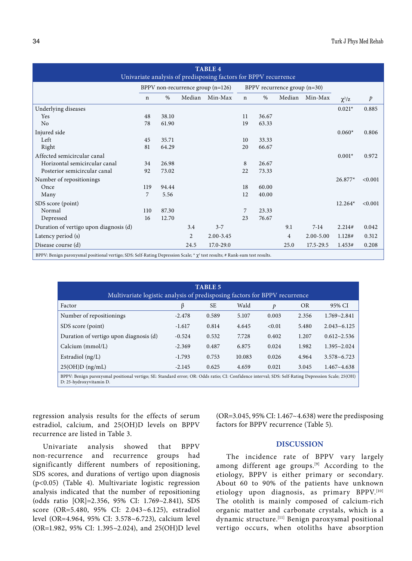| <b>TABLE 4</b><br>Univariate analysis of predisposing factors for BPPV recurrence                                                |                                     |       |        |           |                                |       |                |               |             |                  |
|----------------------------------------------------------------------------------------------------------------------------------|-------------------------------------|-------|--------|-----------|--------------------------------|-------|----------------|---------------|-------------|------------------|
|                                                                                                                                  | $BPPV$ non-recurrence group (n=126) |       |        |           | BPPV recurrence group $(n=30)$ |       |                |               |             |                  |
|                                                                                                                                  | $\mathbf n$                         | $\%$  | Median | Min-Max   | $\mathbf n$                    | $\%$  | Median         | Min-Max       | $\chi^2$ /z | $\boldsymbol{p}$ |
| Underlying diseases                                                                                                              |                                     |       |        |           |                                |       |                |               | $0.021*$    | 0.885            |
| Yes                                                                                                                              | 48                                  | 38.10 |        |           | 11                             | 36.67 |                |               |             |                  |
| No                                                                                                                               | 78                                  | 61.90 |        |           | 19                             | 63.33 |                |               |             |                  |
| Injured side                                                                                                                     |                                     |       |        |           |                                |       |                |               | $0.060*$    | 0.806            |
| Left                                                                                                                             | 45                                  | 35.71 |        |           | 10                             | 33.33 |                |               |             |                  |
| Right                                                                                                                            | 81                                  | 64.29 |        |           | 20                             | 66.67 |                |               |             |                  |
| Affected semicircular canal                                                                                                      |                                     |       |        |           |                                |       |                |               | $0.001*$    | 0.972            |
| Horizontal semicircular canal                                                                                                    | 34                                  | 26.98 |        |           | 8                              | 26.67 |                |               |             |                  |
| Posterior semicircular canal                                                                                                     | 92                                  | 73.02 |        |           | 22                             | 73.33 |                |               |             |                  |
| Number of repositionings                                                                                                         |                                     |       |        |           |                                |       |                |               | 26.877*     | < 0.001          |
| Once                                                                                                                             | 119                                 | 94.44 |        |           | 18                             | 60.00 |                |               |             |                  |
| Many                                                                                                                             | 7                                   | 5.56  |        |           | 12                             | 40.00 |                |               |             |                  |
| SDS score (point)                                                                                                                |                                     |       |        |           |                                |       |                |               | 12.264*     | < 0.001          |
| Normal                                                                                                                           | 110                                 | 87.30 |        |           | 7                              | 23.33 |                |               |             |                  |
| Depressed                                                                                                                        | 16                                  | 12.70 |        |           | 23                             | 76.67 |                |               |             |                  |
| Duration of vertigo upon diagnosis (d)                                                                                           |                                     |       | 3.4    | $3 - 7$   |                                |       | 9.1            | $7-14$        | 2.214#      | 0.042            |
| Latency period (s)                                                                                                               |                                     |       | 2      | 2.00-3.45 |                                |       | $\overline{4}$ | $2.00 - 5.00$ | 1.128#      | 0.312            |
| Disease course (d)                                                                                                               |                                     |       | 24.5   | 17.0-29.0 |                                |       | 25.0           | $17.5 - 29.5$ | 1.453#      | 0.208            |
| BPPV: Benign paroxysmal positional vertigo; SDS: Self-Rating Depression Scale; * $\chi^2$ test results; # Rank-sum test results. |                                     |       |        |           |                                |       |                |               |             |                  |

| <b>TABLE 5</b><br>Multivariate logistic analysis of predisposing factors for BPPV recurrence                                                                                  |          |           |        |        |           |                 |  |  |
|-------------------------------------------------------------------------------------------------------------------------------------------------------------------------------|----------|-----------|--------|--------|-----------|-----------------|--|--|
| Factor                                                                                                                                                                        | ß        | <b>SE</b> | Wald   | p      | <b>OR</b> | 95% CI          |  |  |
| Number of repositionings                                                                                                                                                      | $-2.478$ | 0.589     | 5.107  | 0.003  | 2.356     | $1.769 - 2.841$ |  |  |
| SDS score (point)                                                                                                                                                             | $-1.617$ | 0.814     | 4.645  | < 0.01 | 5.480     | $2.043 - 6.125$ |  |  |
| Duration of vertigo upon diagnosis (d)                                                                                                                                        | $-0.524$ | 0.532     | 7.728  | 0.402  | 1.207     | $0.612 - 2.536$ |  |  |
| Calcium $(mmol/L)$                                                                                                                                                            | $-2.369$ | 0.487     | 6.875  | 0.024  | 1.982     | $1.395 - 2.024$ |  |  |
| Estradiol $(ng/L)$                                                                                                                                                            | $-1.793$ | 0.753     | 10.083 | 0.026  | 4.964     | $3.578 - 6.723$ |  |  |
| $25(OH)D$ (ng/mL)                                                                                                                                                             | $-2.145$ | 0.625     | 4.659  | 0.021  | 3.045     | $1.467 - 4.638$ |  |  |
| BPPV: Benign paroxysmal positional vertigo; SE: Standard error; OR: Odds ratio; CI: Confidence interval; SDS: Self-Rating Depression Scale; 25(OH)<br>D: 25-hydroxyvitamin D. |          |           |        |        |           |                 |  |  |

regression analysis results for the effects of serum estradiol, calcium, and 25(OH)D levels on BPPV recurrence are listed in Table 3.

Univariate analysis showed that BPPV non-recurrence and recurrence groups had significantly different numbers of repositioning, SDS scores, and durations of vertigo upon diagnosis (p<0.05) (Table 4). Multivariate logistic regression analysis indicated that the number of repositioning (odds ratio [OR]=2.356, 95% CI: 1.769~2.841), SDS score (OR=5.480, 95% CI: 2.043~6.125), estradiol level (OR=4.964, 95% CI: 3.578~6.723), calcium level (OR=1.982, 95% CI: 1.395~2.024), and 25(OH)D level (OR=3.045, 95% CI: 1.467~4.638) were the predisposing factors for BPPV recurrence (Table 5).

### **DISCUSSION**

The incidence rate of BPPV vary largely among different age groups.<sup>[9]</sup> According to the etiology, BPPV is either primary or secondary. About 60 to 90% of the patients have unknown etiology upon diagnosis, as primary BPPV.[10] The otolith is mainly composed of calcium-rich organic matter and carbonate crystals, which is a dynamic structure.[11] Benign paroxysmal positional vertigo occurs, when otoliths have absorption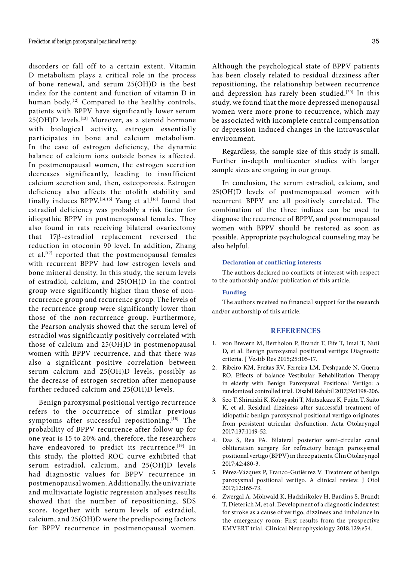disorders or fall off to a certain extent. Vitamin D metabolism plays a critical role in the process of bone renewal, and serum 25(OH)D is the best index for the content and function of vitamin D in human body.<sup>[12]</sup> Compared to the healthy controls, patients with BPPV have significantly lower serum 25(OH)D levels.[13] Moreover, as a steroid hormone with biological activity, estrogen essentially participates in bone and calcium metabolism. In the case of estrogen deficiency, the dynamic balance of calcium ions outside bones is affected. In postmenopausal women, the estrogen secretion decreases significantly, leading to insufficient calcium secretion and, then, osteoporosis. Estrogen deficiency also affects the otolith stability and finally induces BPPV.<sup>[14,15]</sup> Yang et al.<sup>[16]</sup> found that estradiol deficiency was probably a risk factor for idiopathic BPPV in postmenopausal females. They also found in rats receiving bilateral ovariectomy that 17β-estradiol replacement reversed the reduction in otoconin 90 level. In addition, Zhang et al.[17] reported that the postmenopausal females with recurrent BPPV had low estrogen levels and bone mineral density. In this study, the serum levels of estradiol, calcium, and 25(OH)D in the control group were significantly higher than those of nonrecurrence group and recurrence group. The levels of the recurrence group were significantly lower than those of the non-recurrence group. Furthermore, the Pearson analysis showed that the serum level of estradiol was significantly positively correlated with those of calcium and 25(OH)D in postmenopausal women with BPPV recurrence, and that there was also a significant positive correlation between serum calcium and 25(OH)D levels, possibly as the decrease of estrogen secretion after menopause further reduced calcium and 25(OH)D levels.

Benign paroxysmal positional vertigo recurrence refers to the occurrence of similar previous symptoms after successful repositioning.<sup>[18]</sup> The probability of BPPV recurrence after follow-up for one year is 15 to 20% and, therefore, the researchers have endeavored to predict its recurrence.<sup>[19]</sup> In this study, the plotted ROC curve exhibited that serum estradiol, calcium, and 25(OH)D levels had diagnostic values for BPPV recurrence in postmenopausal women. Additionally, the univariate and multivariate logistic regression analyses results showed that the number of repositioning, SDS score, together with serum levels of estradiol, calcium, and 25(OH)D were the predisposing factors for BPPV recurrence in postmenopausal women.

Although the psychological state of BPPV patients has been closely related to residual dizziness after repositioning, the relationship between recurrence and depression has rarely been studied.<sup>[20]</sup> In this study, we found that the more depressed menopausal women were more prone to recurrence, which may be associated with incomplete central compensation or depression-induced changes in the intravascular environment.

Regardless, the sample size of this study is small. Further in-depth multicenter studies with larger sample sizes are ongoing in our group.

In conclusion, the serum estradiol, calcium, and 25(OH)D levels of postmenopausal women with recurrent BPPV are all positively correlated. The combination of the three indices can be used to diagnose the recurrence of BPPV, and postmenopausal women with BPPV should be restored as soon as possible. Appropriate psychological counseling may be also helpful.

#### **Declaration of conflicting interests**

The authors declared no conflicts of interest with respect to the authorship and/or publication of this article.

## **Funding**

The authors received no financial support for the research and/or authorship of this article.

#### **REFERENCES**

- 1. von Brevern M, Bertholon P, Brandt T, Fife T, Imai T, Nuti D, et al. Benign paroxysmal positional vertigo: Diagnostic criteria. J Vestib Res 2015;25:105-17.
- 2. Ribeiro KM, Freitas RV, Ferreira LM, Deshpande N, Guerra RO. Effects of balance Vestibular Rehabilitation Therapy in elderly with Benign Paroxysmal Positional Vertigo: a randomized controlled trial. Disabil Rehabil 2017;39:1198-206.
- 3. Seo T, Shiraishi K, Kobayashi T, Mutsukazu K, Fujita T, Saito K, et al. Residual dizziness after successful treatment of idiopathic benign paroxysmal positional vertigo originates from persistent utricular dysfunction. Acta Otolaryngol 2017;137:1149-52.
- 4. Das S, Rea PA. Bilateral posterior semi-circular canal obliteration surgery for refractory benign paroxysmal positional vertigo (BPPV) in three patients. Clin Otolaryngol 2017;42:480-3.
- 5. Pérez-Vázquez P, Franco-Gutiérrez V. Treatment of benign paroxysmal positional vertigo. A clinical review. J Otol 2017;12:165-73.
- 6. Zwergal A, Möhwald K, Hadzhikolev H, Bardins S, Brandt T, Dieterich M, et al. Development of a diagnostic index test for stroke as a cause of vertigo, dizziness and imbalance in the emergency room: First results from the prospective EMVERT trial. Clinical Neurophysiology 2018;129:e54.